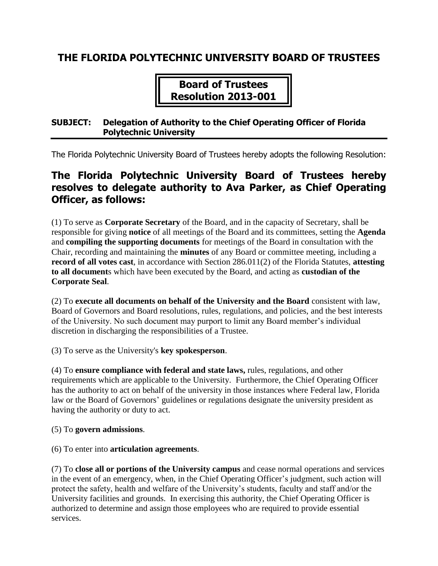## **THE FLORIDA POLYTECHNIC UNIVERSITY BOARD OF TRUSTEES**

# **Board of Trustees Resolution 2013-001**

#### **SUBJECT: Delegation of Authority to the Chief Operating Officer of Florida Polytechnic University**

The Florida Polytechnic University Board of Trustees hereby adopts the following Resolution:

## **The Florida Polytechnic University Board of Trustees hereby resolves to delegate authority to Ava Parker, as Chief Operating Officer, as follows:**

(1) To serve as **Corporate Secretary** of the Board, and in the capacity of Secretary, shall be responsible for giving **notice** of all meetings of the Board and its committees, setting the **Agenda** and **compiling the supporting documents** for meetings of the Board in consultation with the Chair, recording and maintaining the **minutes** of any Board or committee meeting, including a **record of all votes cast**, in accordance with Section 286.011(2) of the Florida Statutes, **attesting to all document**s which have been executed by the Board, and acting as **custodian of the Corporate Seal**.

(2) To **execute all documents on behalf of the University and the Board** consistent with law, Board of Governors and Board resolutions, rules, regulations, and policies, and the best interests of the University. No such document may purport to limit any Board member's individual discretion in discharging the responsibilities of a Trustee.

(3) To serve as the University's **key spokesperson**.

(4) To **ensure compliance with federal and state laws,** rules, regulations, and other requirements which are applicable to the University. Furthermore, the Chief Operating Officer has the authority to act on behalf of the university in those instances where Federal law, Florida law or the Board of Governors' guidelines or regulations designate the university president as having the authority or duty to act.

(5) To **govern admissions**.

(6) To enter into **articulation agreements**.

(7) To **close all or portions of the University campus** and cease normal operations and services in the event of an emergency, when, in the Chief Operating Officer's judgment, such action will protect the safety, health and welfare of the University's students, faculty and staff and/or the University facilities and grounds. In exercising this authority, the Chief Operating Officer is authorized to determine and assign those employees who are required to provide essential services.